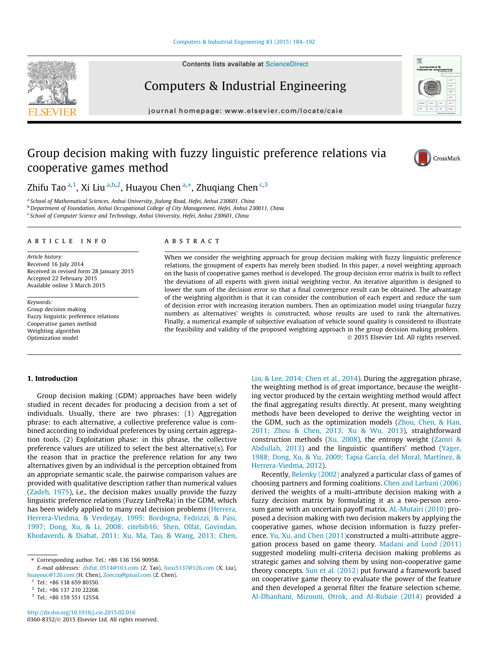#### [Computers & Industrial Engineering 83 \(2015\) 184–192](http://dx.doi.org/10.1016/j.cie.2015.02.016)

Contents lists available at [ScienceDirect](http://www.sciencedirect.com/science/journal/03608352)

## Computers & Industrial Engineering

journal homepage: [www.elsevier.com/locate/caie](http://www.elsevier.com/locate/caie)

# Group decision making with fuzzy linguistic preference relations via cooperative games method



<sup>a</sup> School of Mathematical Sciences, Anhui University, Jiulong Road, Hefei, Anhui 230601, China <sup>b</sup> Department of Foundation, Anhui Occupational College of City Management, Hefei, Anhui 230011, China <sup>c</sup> School of Computer Science and Technology, Anhui University, Hefei, Anhui 230601, China

### article info

Article history: Received 16 July 2014 Received in revised form 28 January 2015 Accepted 22 February 2015 Available online 3 March 2015

Keywords: Group decision making Fuzzy linguistic preference relations Cooperative games method Weighting algorithm Optimization model

#### ABSTRACT

When we consider the weighting approach for group decision making with fuzzy linguistic preference relations, the groupment of experts has merely been studied. In this paper, a novel weighting approach on the basis of cooperative games method is developed. The group decision error matrix is built to reflect the deviations of all experts with given initial weighting vector. An iterative algorithm is designed to lower the sum of the decision error so that a final convergence result can be obtained. The advantage of the weighting algorithm is that it can consider the contribution of each expert and reduce the sum of decision error with increasing iteration numbers. Then an optimization model using triangular fuzzy numbers as alternatives' weights is constructed, whose results are used to rank the alternatives. Finally, a numerical example of subjective evaluation of vehicle sound quality is considered to illustrate the feasibility and validity of the proposed weighting approach in the group decision making problem. - 2015 Elsevier Ltd. All rights reserved.

#### 1. Introduction

Group decision making (GDM) approaches have been widely studied in recent decades for producing a decision from a set of individuals. Usually, there are two phrases: (1) Aggregation phrase: to each alternative, a collective preference value is combined according to individual preferences by using certain aggregation tools. (2) Exploitation phase: in this phrase, the collective preference values are utilized to select the best alternative(s). For the reason that in practice the preference relation for any two alternatives given by an individual is the perception obtained from an appropriate semantic scale, the pairwise comparison values are provided with qualitative description rather than numerical values ([Zadeh, 1975\)](#page--1-0), i.e., the decision makes usually provide the fuzzy linguistic preference relations (Fuzzy LinPreRa) in the GDM, which has been widely applied to many real decision problems [\(Herrera,](#page--1-0) [Herrera-Viedma, & Verdegay, 1995; Bordogna, Fedrizzi, & Pasi,](#page--1-0) [1997; Dong, Xu, & Li, 2008; citebib16; Shen, Olfat, Govindan,](#page--1-0) [Khodaverdi, & Diabat, 2011; Xu, Ma, Tao, & Wang, 2013; Chen,](#page--1-0) [Lin, & Lee, 2014; Chen et al., 2014\)](#page--1-0). During the aggregation phrase, the weighting method is of great importance, because the weighting vector produced by the certain weighting method would affect the final aggregating results directly. At present, many weighting methods have been developed to derive the weighting vector in the GDM, such as the optimization models [\(Zhou, Chen, & Han,](#page--1-0) [2011; Zhou & Chen, 2013; Xu & Wu, 2013](#page--1-0)), straightforward construction methods [\(Xu, 2008\)](#page--1-0), the entropy weight ([Zamri &](#page--1-0) [Abdullah, 2013](#page--1-0)) and the linguistic quantifiers' method ([Yager,](#page--1-0) [1988; Dong, Xu, & Yu, 2009; Tapia García, del Moral, Martínez, &](#page--1-0) [Herrera-Viedma, 2012](#page--1-0)).

Recently, [Belenky \(2002\)](#page--1-0) analyzed a particular class of games of choosing partners and forming coalitions. [Chen and Larbani \(2006\)](#page--1-0) derived the weights of a multi-attribute decision making with a fuzzy decision matrix by formulating it as a two-person zerosum game with an uncertain payoff matrix. [AL-Mutairi \(2010\)](#page--1-0) proposed a decision making with two decision makers by applying the cooperative games, whose decision information is fuzzy prefer-ence. [Yu, Xu, and Chen \(2011\)c](#page--1-0)onstructed a multi-attribute aggregation process based on game theory. [Madani and Lund \(2011\)](#page--1-0) suggested modeling multi-criteria decision making problems as strategic games and solving them by using non-cooperative game theory concepts. [Sun et al. \(2012\)](#page--1-0) put forward a framework based on cooperative game theory to evaluate the power of the feature and then developed a general filter the feature selection scheme. [Al-Dhanhani, Mizouni, Otrok, and Al-Rubaie \(2014\)](#page--1-0) provided a





<sup>⇑</sup> Corresponding author. Tel.: +86 136 156 90958.

E-mail addresses: [zhifut\\_0514@163.com](mailto:zhifut_0514@163.com) (Z. Tao), [liuxi5137@126.com](mailto:liuxi5137@126.com) (X. Liu), [huayouc@126.com](mailto:huayouc@126.com) (H. Chen), [Zoeczq@gmail.com](mailto:Zoeczq@gmail.com) (Z. Chen).

<sup>1</sup> Tel.: +86 138 659 80350.

<sup>2</sup> Tel.: +86 137 210 22268.

<sup>3</sup> Tel.: +86 159 551 12554.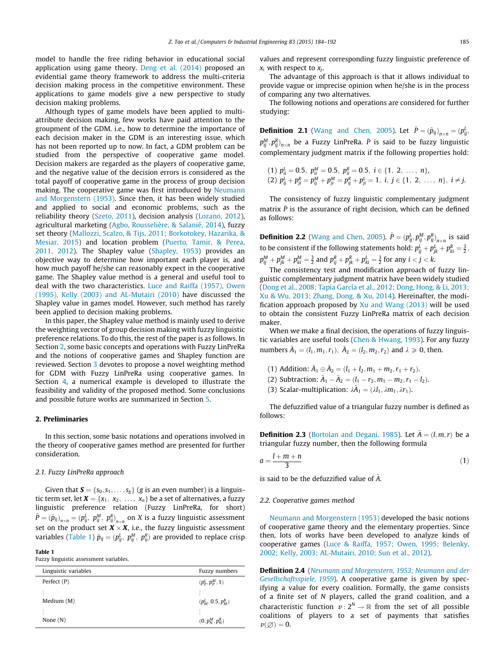model to handle the free riding behavior in educational social application using game theory. [Deng et al. \(2014\)](#page--1-0) proposed an evidential game theory framework to address the multi-criteria decision making process in the competitive environment. These applications to game models give a new perspective to study decision making problems.

Although types of game models have been applied to multiattribute decision making, few works have paid attention to the groupment of the GDM. i.e., how to determine the importance of each decision maker in the GDM is an interesting issue, which has not been reported up to now. In fact, a GDM problem can be studied from the perspective of cooperative game model. Decision makers are regarded as the players of cooperative game, and the negative value of the decision errors is considered as the total payoff of cooperative game in the process of group decision making. The cooperative game was first introduced by [Neumann](#page--1-0) [and Morgenstern \(1953\)](#page--1-0). Since then, it has been widely studied and applied to social and economic problems, such as the reliability theory ([Szeto, 2011](#page--1-0)), decision analysis ([Lozano, 2012\)](#page--1-0), agricultural marketing [\(Agbo, Rousselière, & Salanié, 2014](#page--1-0)), fuzzy set theory ([Mallozzi, Scalzo, & Tijs, 2011; Borkotokey, Hazarika, &](#page--1-0) [Mesiar, 2015](#page--1-0)) and location problem [\(Puerto, Tamir, & Perea,](#page--1-0) [2011, 2012\)](#page--1-0). The Shapley value ([Shapley, 1953\)](#page--1-0) provides an objective way to determine how important each player is, and how much payoff he/she can reasonably expect in the cooperative game. The Shapley value method is a general and useful tool to deal with the two characteristics. [Luce and Raiffa \(1957\), Owen](#page--1-0) [\(1995\), Kelly \(2003\) and AL-Mutairi \(2010\)](#page--1-0) have discussed the Shapley value in games model. However, such method has rarely been applied to decision making problems.

In this paper, the Shapley value method is mainly used to derive the weighting vector of group decision making with fuzzy linguistic preference relations. To do this, the rest of the paper is as follows. In Section 2, some basic concepts and operations with Fuzzy LinPreRa and the notions of cooperative games and Shapley function are reviewed. Section [3](#page--1-0) devotes to propose a novel weighting method for GDM with Fuzzy LinPreRa using cooperative games. In Section [4,](#page--1-0) a numerical example is developed to illustrate the feasibility and validity of the proposed method. Some conclusions and possible future works are summarized in Section [5](#page--1-0).

#### 2. Preliminaries

In this section, some basic notations and operations involved in the theory of cooperative games method are presented for further consideration.

#### 2.1. Fuzzy LinPreRa approach

Given that  $S = \{s_0, s_1, \ldots, s_g\}$  (g is an even number) is a linguistic term set, let  $X = \{x_1, x_2, \ldots, x_n\}$  be a set of alternatives, a fuzzy linguistic preference relation (Fuzzy LinPreRa, for short)  $\tilde{P}=(\tilde{p}_{ij})_{n\times n}=(p_{ij}^L,~p_{ij}^M,~p_{ij}^R)_{n\times n}$  on  $X$  is a fuzzy linguistic assessment set on the product set  $\pmb{X}\times \pmb{X}$ , i.e., the fuzzy linguistic assessment variables (Table 1)  $\tilde{p}_{ij} = (p_{ij}^L,~p_{ij}^M,~p_{ij}^R)$  are provided to replace crisp

#### Table 1

Fuzzy linguistic assessment variables.

| Linguistic variables | Fuzzy numbers         |
|----------------------|-----------------------|
| Perfect (P)          | $(p_P^L, p_P^M, 1)$   |
| ÷<br>Medium (M)      | $(p_M^L, 0.5, p_M^R)$ |
| ŧ<br>None $(N)$      | $(0, p_N^M, p_N^R)$   |

values and represent corresponding fuzzy linguistic preference of  $x_i$  with respect to  $x_i$ .

The advantage of this approach is that it allows individual to provide vague or imprecise opinion when he/she is in the process of comparing any two alternatives.

The following notions and operations are considered for further studying:

**Definition 2.1** [\(Wang and Chen, 2005](#page--1-0)). Let  $\tilde{P} = (\tilde{p}_{ij})_{n \times n} = (p_{ij}^L, p_{ij}^L, p_{ij}^L)$  $p_{ij}^M, p_{ij}^R)_{n \times n}$  be a Fuzzy LinPreRa.  $\tilde{P}$  is said to be fuzzy linguistic complementary judgment matrix if the following properties hold:

$$
\begin{array}{l}\n(1) \; p_{ii}^L = 0.5, \; p_{ii}^M = 0.5, \; p_{ii}^R = 0.5, \; i \in \{1, \; 2, \; \ldots, \; n\}, \\
(2) \; p_{ij}^L + p_{ji}^R = p_{ij}^M + p_{ji}^M = p_{ij}^R + p_{ji}^L = 1, \; i, \; j \in \{1, \; 2, \; \ldots, \; n\}, \; i \neq j.\n\end{array}
$$

The consistency of fuzzy linguistic complementary judgment matrix  $\tilde{P}$  is the assurance of right decision, which can be defined as follows:

**Definition 2.2** [\(Wang and Chen, 2005\)](#page--1-0).  $\tilde{P} = (p_{ij}^L, p_{ij}^M, p_{ij}^R)_{n \times n}$  is said to be consistent if the following statements hold:  $p_{ij}^L + p_{jk}^L + p_{ki}^R = \frac{3}{2}$  ,  $p_{ij}^M + p_{jk}^M + p_{ki}^M = \frac{3}{2}$  and  $p_{ij}^R + p_{jk}^R + p_{ki}^L = \frac{3}{2}$  for any  $i < j < k.$ 

The consistency test and modification approach of fuzzy linguistic complementary judgment matrix have been widely studied ([Dong et al., 2008; Tapia García et al., 2012; Dong, Hong, & Li, 2013;](#page--1-0) [Xu & Wu, 2013; Zhang, Dong, & Xu, 2014\)](#page--1-0). Hereinafter, the modification approach proposed by  $Xu$  and Wang (2013) will be used to obtain the consistent Fuzzy LinPreRa matrix of each decision maker.

When we make a final decision, the operations of fuzzy linguistic variables are useful tools ([Chen & Hwang, 1993\)](#page--1-0). For any fuzzy numbers  $\tilde{A}_1 = (l_1, m_1, r_1), \ \tilde{A}_2 = (l_2, m_2, r_2)$  and  $\lambda \ge 0$ , then.

- (1) Addition:  $\tilde{A}_1 \oplus \tilde{A}_2 = (l_1 + l_2, m_1 + m_2, r_1 + r_2)$ .
- (2) Subtraction:  $\tilde{A}_1 \tilde{A}_2 = (l_1 r_2, m_1 m_2, r_1 l_2)$ .
- (3) Scalar-multiplication:  $\lambda \tilde{A}_1 = (\lambda l_1, \lambda m_1, \lambda r_1)$ .

The defuzzified value of a triangular fuzzy number is defined as follows:

**Definition 2.3** [\(Bortolan and Degani, 1985\)](#page--1-0). Let  $\tilde{A} = (l, m, r)$  be a triangular fuzzy number, then the following formula

$$
a = \frac{l + m + n}{3} \tag{1}
$$

is said to be the defuzzified value of  $A$ .

#### 2.2. Cooperative games method

[Neumann and Morgenstern \(1953\)](#page--1-0) developed the basic notions of cooperative game theory and the elementary properties. Since then, lots of works have been developed to analyze kinds of cooperative games [\(Luce & Raiffa, 1957; Owen, 1995; Belenky,](#page--1-0) [2002; Kelly, 2003; AL-Mutairi, 2010; Sun et al., 2012\)](#page--1-0).

Definition 2.4 ([Neumann and Morgenstern, 1953; Neumann and der](#page--1-0) [Gesellschaftsspiele, 1959](#page--1-0)). A cooperative game is given by specifying a value for every coalition. Formally, the game consists of a finite set of N players, called the grand coalition, and a characteristic function  $v: 2^N \to \mathbb{R}$  from the set of all possible coalitions of players to a set of payments that satisfies  $v(\emptyset) = 0.$